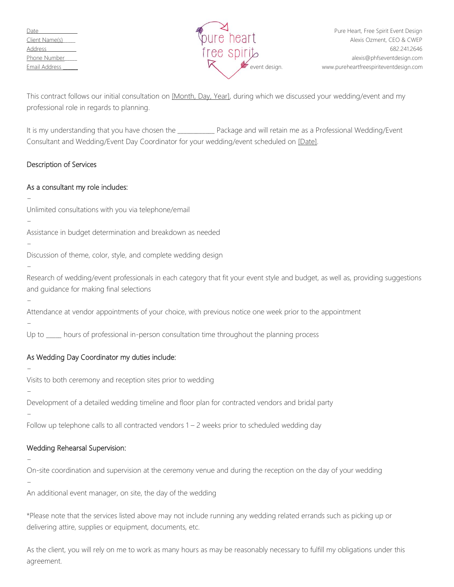

This contract follows our initial consultation on [Month, Day, Year], during which we discussed your wedding/event and my professional role in regards to planning.

It is my understanding that you have chosen the \_\_\_\_\_\_\_\_\_\_\_\_\_\_ Package and will retain me as a Professional Wedding/Event Consultant and Wedding/Event Day Coordinator for your wedding/event scheduled on [Date].

## Description of Services

## As a consultant my role includes:

Unlimited consultations with you via telephone/email

Assistance in budget determination and breakdown as needed

Discussion of theme, color, style, and complete wedding design

Research of wedding/event professionals in each category that fit your event style and budget, as well as, providing suggestions and guidance for making final selections

Attendance at vendor appointments of your choice, with previous notice one week prior to the appointment

−

−

−

−

−

−

−

−

Up to \_\_\_\_\_ hours of professional in-person consultation time throughout the planning process

# As Wedding Day Coordinator my duties include:

Visits to both ceremony and reception sites prior to wedding

Development of a detailed wedding timeline and floor plan for contracted vendors and bridal party

−

Follow up telephone calls to all contracted vendors 1 – 2 weeks prior to scheduled wedding day

## Wedding Rehearsal Supervision:

−

On-site coordination and supervision at the ceremony venue and during the reception on the day of your wedding

−

An additional event manager, on site, the day of the wedding

\*Please note that the services listed above may not include running any wedding related errands such as picking up or delivering attire, supplies or equipment, documents, etc.

As the client, you will rely on me to work as many hours as may be reasonably necessary to fulfill my obligations under this agreement.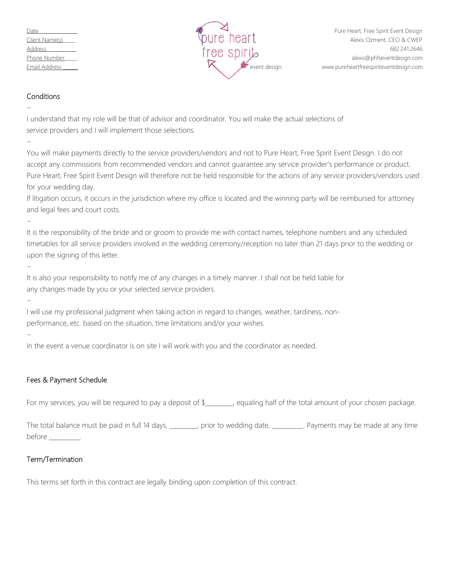| Date           |
|----------------|
| Client Name(s) |
| <u>Address</u> |
| Phone Number   |
| Email Address  |



#### **Conditions**

I understand that my role will be that of advisor and coordinator. You will make the actual selections of service providers and I will implement those selections.

−

−

You will make payments directly to the service providers/vendors and not to Pure Heart, Free Spirit Event Design. I do not accept any commissions from recommended vendors and cannot guarantee any service provider's performance or product. Pure Heart, Free Spirit Event Design will therefore not be held responsible for the actions of any service providers/vendors used for your wedding day.

If litigation occurs, it occurs in the jurisdiction where my office is located and the winning party will be reimbursed for attorney and legal fees and court costs.

−

It is the responsibility of the bride and or groom to provide me with contact names, telephone numbers and any scheduled timetables for all service providers involved in the wedding ceremony/reception no later than 21 days prior to the wedding or upon the signing of this letter.

−

It is also your responsibility to notify me of any changes in a timely manner. I shall not be held liable for any changes made by you or your selected service providers.

I will use my professional judgment when taking action in regard to changes, weather, tardiness, nonperformance, etc. based on the situation, time limitations and/or your wishes.

−

−

In the event a venue coordinator is on site I will work with you and the coordinator as needed.

## Fees & Payment Schedule

For my services, you will be required to pay a deposit of \$\_\_\_\_\_\_, equaling half of the total amount of your chosen package.

The total balance must be paid in full 14 days, \_\_\_\_\_\_\_\_, prior to wedding date, \_\_\_\_\_\_\_\_\_. Payments may be made at any time before \_\_\_\_\_\_\_\_\_\_.

## Term/Termination

This terms set forth in this contract are legally binding upon completion of this contract.